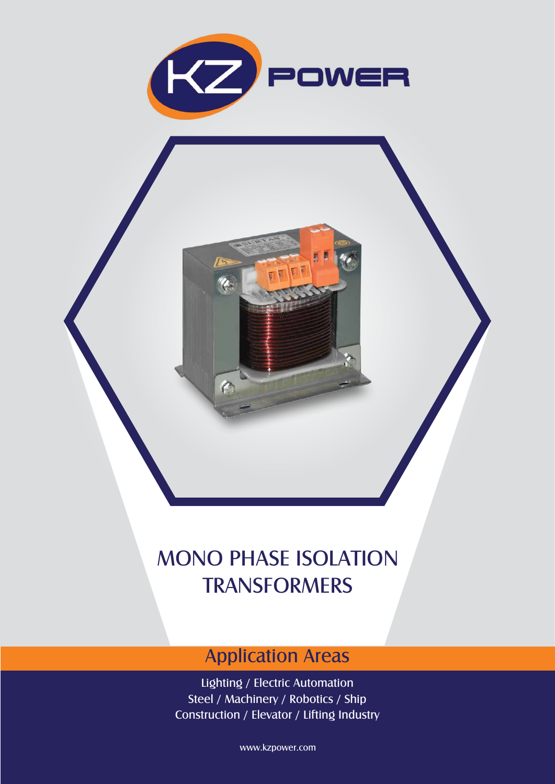

E

a

n

## MONO PHASE ISOLATION TRANSFORMERS

## Application Areas

Lighting / Electric Automation Steel / Machinery / Robotics / Ship Construction / Elevator / Lifting Industry

www.kzpower.com